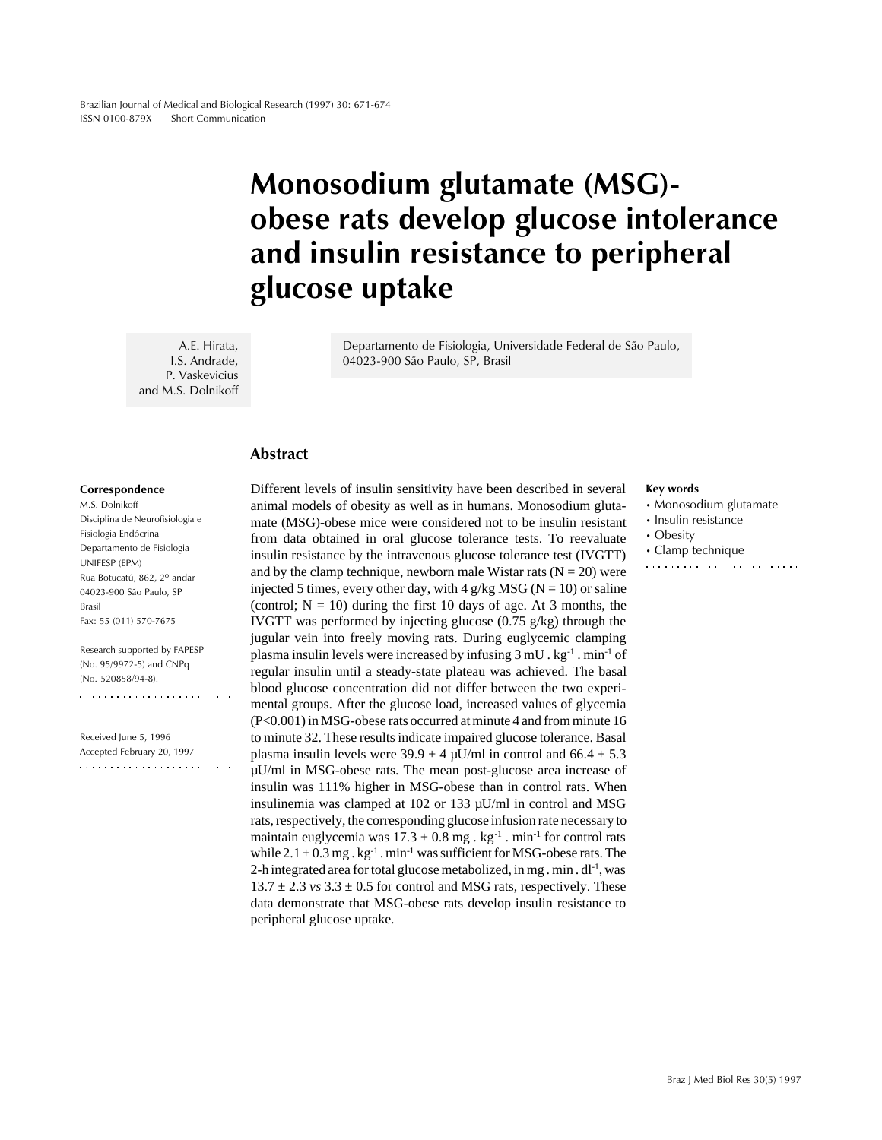# Monosodium glutamate (MSG) obese rats develop glucose intolerance and insulin resistance to peripheral glucose uptake

A.E. Hirata, I.S. Andrade, P. Vaskevicius and M.S. Dolnikoff

Departamento de Fisiologia, Universidade Federal de São Paulo, 04023-900 São Paulo, SP, Brasil

## Abstract

#### Correspondence

M.S. Dolnikoff Disciplina de Neurofisiologia e Fisiologia Endócrina Departamento de Fisiologia UNIFESP (EPM) Rua Botucatú, 862, 2o andar 04023-900 São Paulo, SP Brasil Fax: 55 (011) 570-7675

Research supported by FAPESP (No. 95/9972-5) and CNPq (No. 520858/94-8). 

Received June 5, 1996 Accepted February 20, 1997  Different levels of insulin sensitivity have been described in several animal models of obesity as well as in humans. Monosodium glutamate (MSG)-obese mice were considered not to be insulin resistant from data obtained in oral glucose tolerance tests. To reevaluate insulin resistance by the intravenous glucose tolerance test (IVGTT) and by the clamp technique, newborn male Wistar rats  $(N = 20)$  were injected 5 times, every other day, with 4 g/kg MSG ( $N = 10$ ) or saline (control;  $N = 10$ ) during the first 10 days of age. At 3 months, the IVGTT was performed by injecting glucose (0.75 g/kg) through the jugular vein into freely moving rats. During euglycemic clamping plasma insulin levels were increased by infusing  $3 \text{ mU}$ .  $\text{kg}$ <sup>-1</sup>. min<sup>-1</sup> of regular insulin until a steady-state plateau was achieved. The basal blood glucose concentration did not differ between the two experimental groups. After the glucose load, increased values of glycemia (P<0.001) in MSG-obese rats occurred at minute 4 and from minute 16 to minute 32. These results indicate impaired glucose tolerance. Basal plasma insulin levels were  $39.9 \pm 4 \mu$ U/ml in control and  $66.4 \pm 5.3$ µU/ml in MSG-obese rats. The mean post-glucose area increase of insulin was 111% higher in MSG-obese than in control rats. When insulinemia was clamped at 102 or 133 µU/ml in control and MSG rats, respectively, the corresponding glucose infusion rate necessary to maintain euglycemia was  $17.3 \pm 0.8$  mg . kg<sup>-1</sup> . min<sup>-1</sup> for control rats while  $2.1 \pm 0.3$  mg . kg<sup>-1</sup> . min<sup>-1</sup> was sufficient for MSG-obese rats. The 2-h integrated area for total glucose metabolized, in mg. min.  $dl^{-1}$ , was  $13.7 \pm 2.3$  *vs*  $3.3 \pm 0.5$  for control and MSG rats, respectively. These data demonstrate that MSG-obese rats develop insulin resistance to peripheral glucose uptake.

#### Key words

- Monosodium glutamate
- Insulin resistance
- Obesity
- Clamp technique
-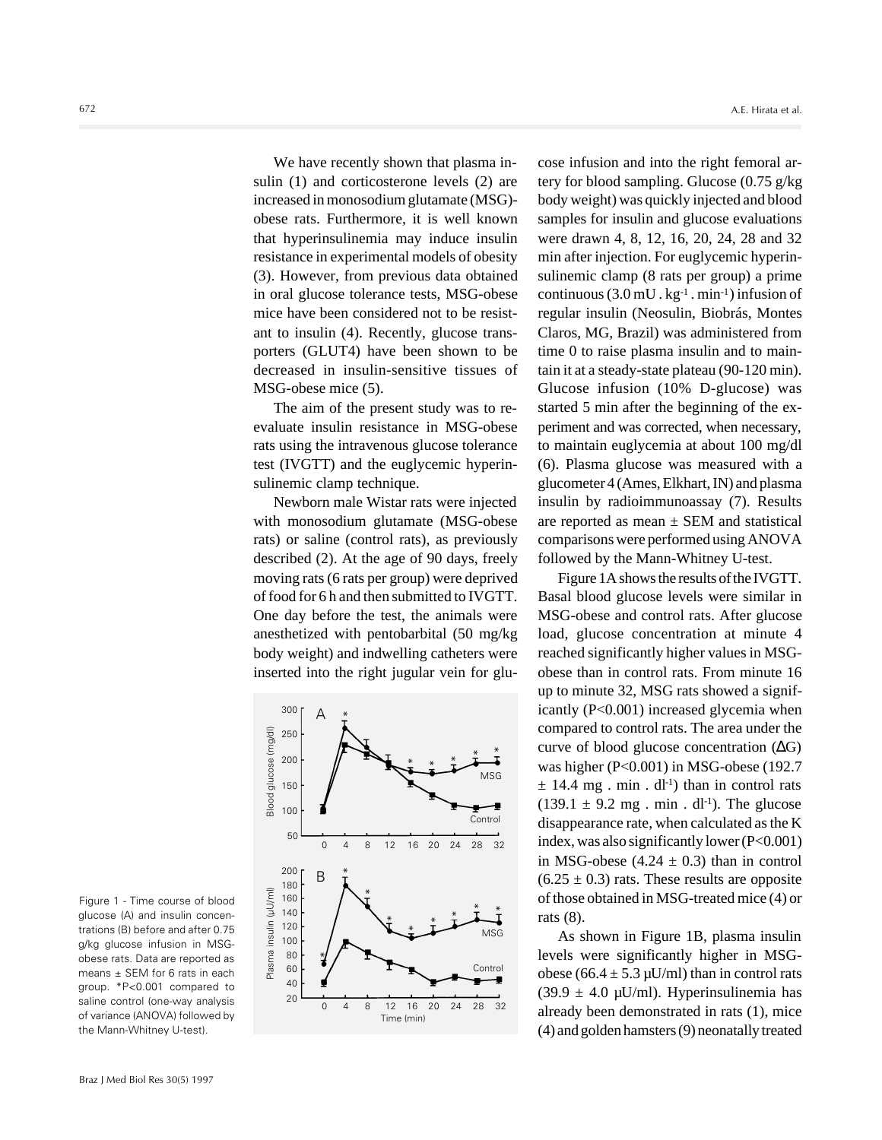We have recently shown that plasma insulin (1) and corticosterone levels (2) are increased in monosodium glutamate (MSG) obese rats. Furthermore, it is well known that hyperinsulinemia may induce insulin resistance in experimental models of obesity (3). However, from previous data obtained in oral glucose tolerance tests, MSG-obese mice have been considered not to be resistant to insulin (4). Recently, glucose transporters (GLUT4) have been shown to be decreased in insulin-sensitive tissues of MSG-obese mice (5).

The aim of the present study was to reevaluate insulin resistance in MSG-obese rats using the intravenous glucose tolerance test (IVGTT) and the euglycemic hyperinsulinemic clamp technique.

Newborn male Wistar rats were injected with monosodium glutamate (MSG-obese rats) or saline (control rats), as previously described (2). At the age of 90 days, freely moving rats (6 rats per group) were deprived of food for 6 h and then submitted to IVGTT. One day before the test, the animals were anesthetized with pentobarbital (50 mg/kg body weight) and indwelling catheters were inserted into the right jugular vein for glu-



cose infusion and into the right femoral artery for blood sampling. Glucose (0.75 g/kg body weight) was quickly injected and blood samples for insulin and glucose evaluations were drawn 4, 8, 12, 16, 20, 24, 28 and 32 min after injection. For euglycemic hyperinsulinemic clamp (8 rats per group) a prime continuous  $(3.0 \text{ mU} \cdot \text{kg}^{-1} \cdot \text{min}^{-1})$  infusion of regular insulin (Neosulin, Biobrás, Montes Claros, MG, Brazil) was administered from time 0 to raise plasma insulin and to maintain it at a steady-state plateau (90-120 min). Glucose infusion (10% D-glucose) was started 5 min after the beginning of the experiment and was corrected, when necessary, to maintain euglycemia at about 100 mg/dl (6). Plasma glucose was measured with a glucometer 4 (Ames, Elkhart, IN) and plasma insulin by radioimmunoassay (7). Results are reported as mean  $\pm$  SEM and statistical comparisons were performed using ANOVA followed by the Mann-Whitney U-test.

Figure 1A shows the results of the IVGTT. Basal blood glucose levels were similar in MSG-obese and control rats. After glucose load, glucose concentration at minute 4 reached significantly higher values in MSGobese than in control rats. From minute 16 up to minute 32, MSG rats showed a significantly (P<0.001) increased glycemia when compared to control rats. The area under the curve of blood glucose concentration (∆G) was higher (P<0.001) in MSG-obese (192.7  $\pm$  14.4 mg. min. dl<sup>-1</sup>) than in control rats  $(139.1 \pm 9.2 \text{ mg} \cdot \text{min} \cdot \text{d}l^{-1})$ . The glucose disappearance rate, when calculated as the K index, was also significantly lower (P<0.001) in MSG-obese  $(4.24 \pm 0.3)$  than in control  $(6.25 \pm 0.3)$  rats. These results are opposite of those obtained in MSG-treated mice (4) or rats (8).

As shown in Figure 1B, plasma insulin levels were significantly higher in MSGobese (66.4  $\pm$  5.3 µU/ml) than in control rats  $(39.9 \pm 4.0 \,\text{\mu U/ml})$ . Hyperinsulinemia has already been demonstrated in rats (1), mice (4) and golden hamsters (9) neonatally treated

Figure 1 - Time course of blood glucose (A) and insulin concentrations (B) before and after 0.75 g/kg glucose infusion in MSGobese rats. Data are reported as means ± SEM for 6 rats in each group. \*P<0.001 compared to saline control (one-way analysis of variance (ANOVA) followed by the Mann-Whitney U-test).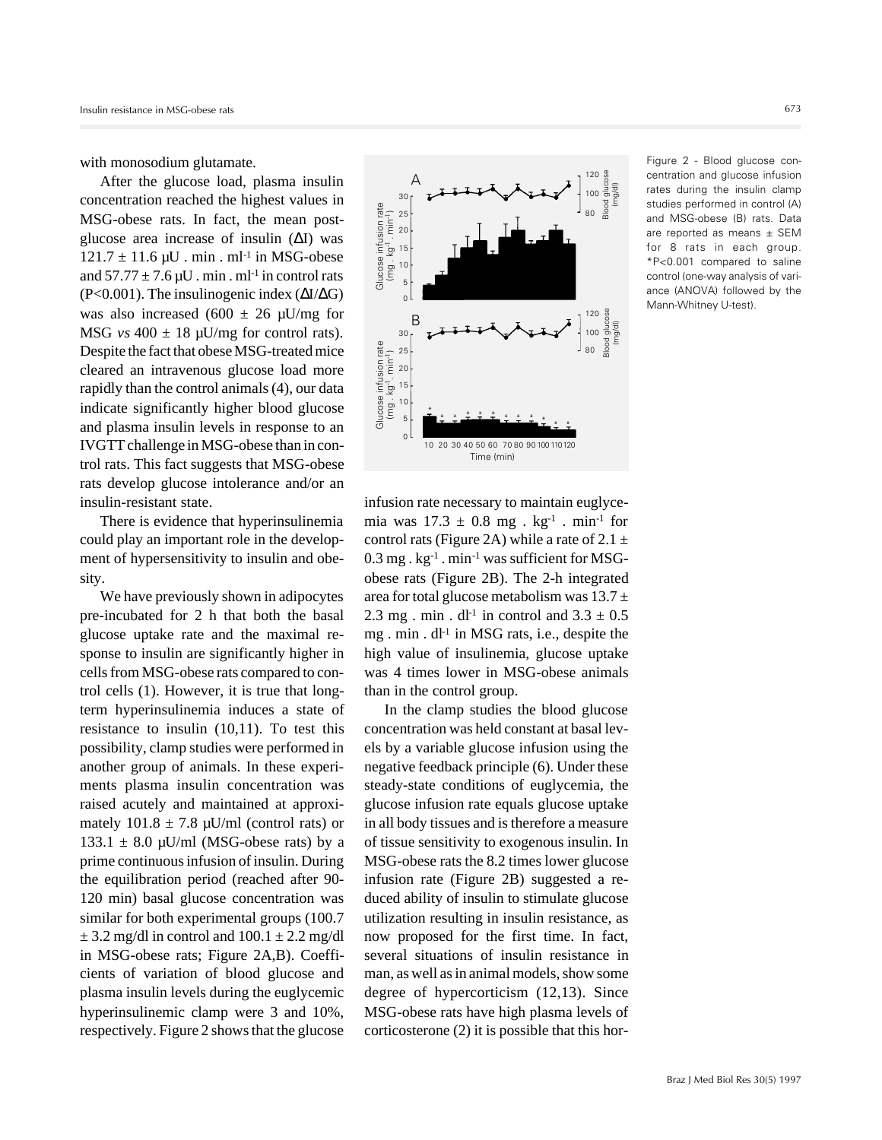with monosodium glutamate.

After the glucose load, plasma insulin concentration reached the highest values in MSG-obese rats. In fact, the mean postglucose area increase of insulin (∆I) was  $121.7 \pm 11.6 \,\mu$ U . min . ml<sup>-1</sup> in MSG-obese and  $57.77 \pm 7.6 \,\mu$ U . min . ml<sup>-1</sup> in control rats (P<0.001). The insulinogenic index  $(\Delta I/\Delta G)$ was also increased (600  $\pm$  26 µU/mg for MSG  $vs$  400  $\pm$  18  $\mu$ U/mg for control rats). Despite the fact that obese MSG-treated mice cleared an intravenous glucose load more rapidly than the control animals (4), our data indicate significantly higher blood glucose and plasma insulin levels in response to an IVGTT challenge in MSG-obese than in control rats. This fact suggests that MSG-obese rats develop glucose intolerance and/or an insulin-resistant state.

There is evidence that hyperinsulinemia could play an important role in the development of hypersensitivity to insulin and obesity.

We have previously shown in adipocytes pre-incubated for 2 h that both the basal glucose uptake rate and the maximal response to insulin are significantly higher in cells from MSG-obese rats compared to control cells (1). However, it is true that longterm hyperinsulinemia induces a state of resistance to insulin (10,11). To test this possibility, clamp studies were performed in another group of animals. In these experiments plasma insulin concentration was raised acutely and maintained at approximately  $101.8 \pm 7.8$   $\mu$ U/ml (control rats) or 133.1  $\pm$  8.0 µU/ml (MSG-obese rats) by a prime continuous infusion of insulin. During the equilibration period (reached after 90- 120 min) basal glucose concentration was similar for both experimental groups (100.7  $\pm$  3.2 mg/dl in control and 100.1  $\pm$  2.2 mg/dl in MSG-obese rats; Figure 2A,B). Coefficients of variation of blood glucose and plasma insulin levels during the euglycemic hyperinsulinemic clamp were 3 and 10%, respectively. Figure 2 shows that the glucose



infusion rate necessary to maintain euglycemia was  $17.3 \pm 0.8$  mg . kg<sup>-1</sup> . min<sup>-1</sup> for control rats (Figure 2A) while a rate of  $2.1 \pm$  $0.3$  mg .  $kg^{-1}$  . min<sup>-1</sup> was sufficient for MSGobese rats (Figure 2B). The 2-h integrated area for total glucose metabolism was  $13.7 \pm$ 2.3 mg . min .  $dl^{-1}$  in control and  $3.3 \pm 0.5$ mg . min . dl<sup>-1</sup> in MSG rats, i.e., despite the high value of insulinemia, glucose uptake was 4 times lower in MSG-obese animals than in the control group.

In the clamp studies the blood glucose concentration was held constant at basal levels by a variable glucose infusion using the negative feedback principle (6). Under these steady-state conditions of euglycemia, the glucose infusion rate equals glucose uptake in all body tissues and is therefore a measure of tissue sensitivity to exogenous insulin. In MSG-obese rats the 8.2 times lower glucose infusion rate (Figure 2B) suggested a reduced ability of insulin to stimulate glucose utilization resulting in insulin resistance, as now proposed for the first time. In fact, several situations of insulin resistance in man, as well as in animal models, show some degree of hypercorticism (12,13). Since MSG-obese rats have high plasma levels of Correlation and Higher Corticosterone (2) it is possible that this horizontal control of the distribution rate (Figure 2B) suppose that this horizontal policy is a set of  $2.1 \pm \frac{3}{2}$  is  $\frac{1}{8}$  is  $\frac{1}{8}$  is  $\frac{1}{$ 

Figure 2 - Blood glucose concentration and glucose infusion rates during the insulin clamp studies performed in control (A) and MSG-obese (B) rats. Data are reported as means  $\pm$  SEM for 8 rats in each group. \*P<0.001 compared to saline control (one-way analysis of variance (ANOVA) followed by the Mann-Whitney U-test).